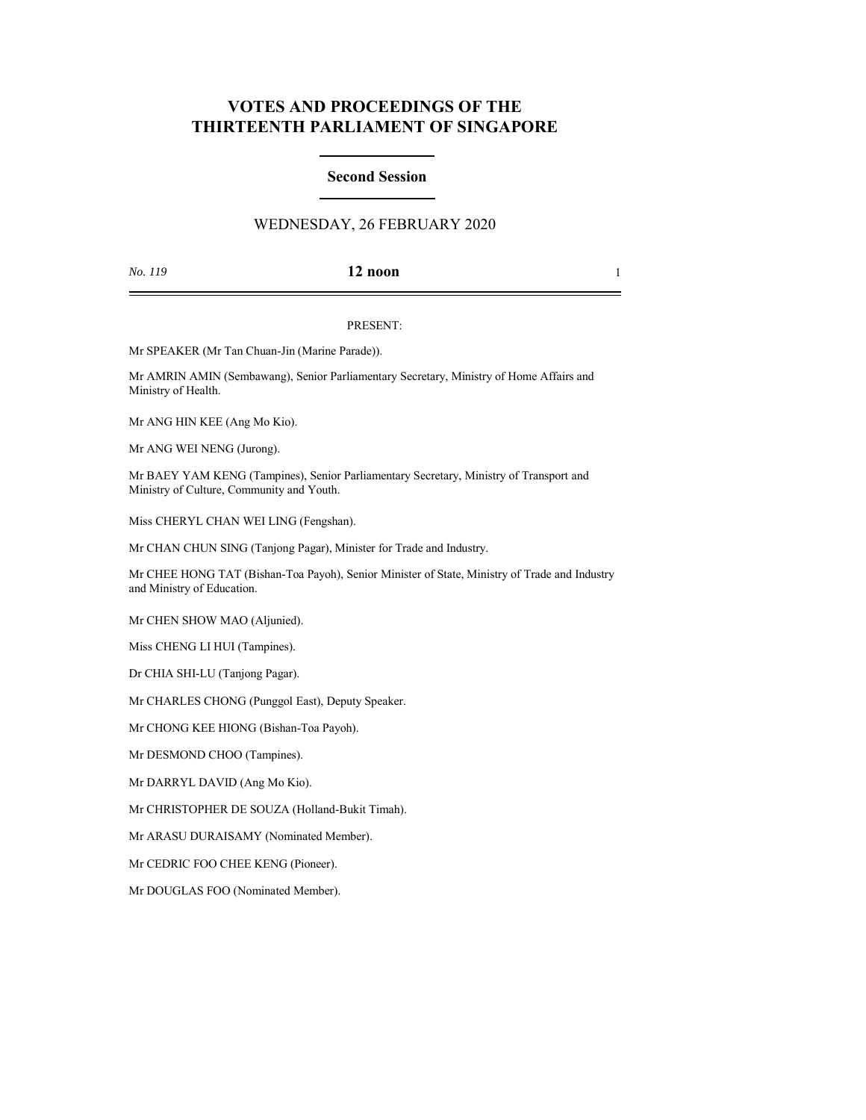# **VOTES AND PROCEEDINGS OF THE THIRTEENTH PARLIAMENT OF SINGAPORE**

### **Second Session**

## WEDNESDAY, 26 FEBRUARY 2020

*No. 119* **12 noon** 1

#### PRESENT:

Mr SPEAKER (Mr Tan Chuan-Jin (Marine Parade)).

Mr AMRIN AMIN (Sembawang), Senior Parliamentary Secretary, Ministry of Home Affairs and Ministry of Health.

Mr ANG HIN KEE (Ang Mo Kio).

Mr ANG WEI NENG (Jurong).

Mr BAEY YAM KENG (Tampines), Senior Parliamentary Secretary, Ministry of Transport and Ministry of Culture, Community and Youth.

Miss CHERYL CHAN WEI LING (Fengshan).

Mr CHAN CHUN SING (Tanjong Pagar), Minister for Trade and Industry.

Mr CHEE HONG TAT (Bishan-Toa Payoh), Senior Minister of State, Ministry of Trade and Industry and Ministry of Education.

Mr CHEN SHOW MAO (Aljunied).

Miss CHENG LI HUI (Tampines).

Dr CHIA SHI-LU (Tanjong Pagar).

Mr CHARLES CHONG (Punggol East), Deputy Speaker.

Mr CHONG KEE HIONG (Bishan-Toa Payoh).

Mr DESMOND CHOO (Tampines).

Mr DARRYL DAVID (Ang Mo Kio).

Mr CHRISTOPHER DE SOUZA (Holland-Bukit Timah).

Mr ARASU DURAISAMY (Nominated Member).

Mr CEDRIC FOO CHEE KENG (Pioneer).

Mr DOUGLAS FOO (Nominated Member).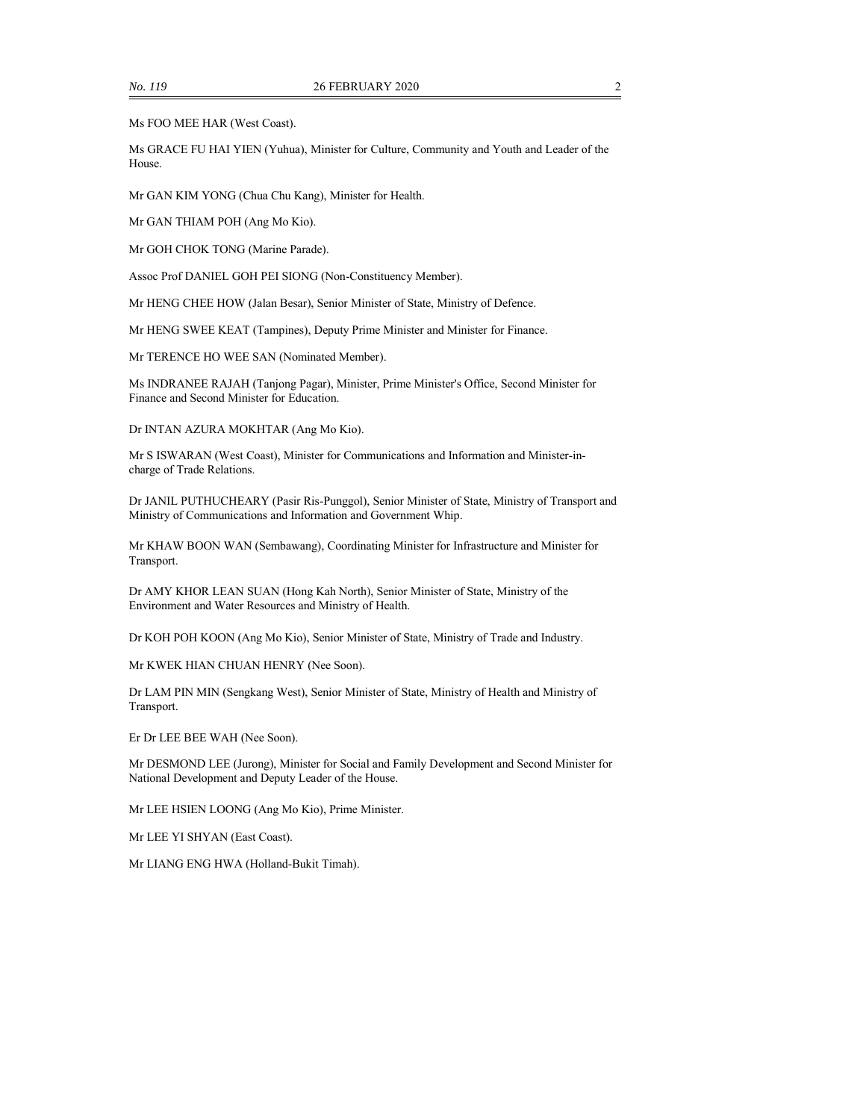Ms FOO MEE HAR (West Coast).

Ms GRACE FU HAI YIEN (Yuhua), Minister for Culture, Community and Youth and Leader of the House.

Mr GAN KIM YONG (Chua Chu Kang), Minister for Health.

Mr GAN THIAM POH (Ang Mo Kio).

Mr GOH CHOK TONG (Marine Parade).

Assoc Prof DANIEL GOH PEI SIONG (Non-Constituency Member).

Mr HENG CHEE HOW (Jalan Besar), Senior Minister of State, Ministry of Defence.

Mr HENG SWEE KEAT (Tampines), Deputy Prime Minister and Minister for Finance.

Mr TERENCE HO WEE SAN (Nominated Member).

Ms INDRANEE RAJAH (Tanjong Pagar), Minister, Prime Minister's Office, Second Minister for Finance and Second Minister for Education.

Dr INTAN AZURA MOKHTAR (Ang Mo Kio).

Mr S ISWARAN (West Coast), Minister for Communications and Information and Minister-incharge of Trade Relations.

Dr JANIL PUTHUCHEARY (Pasir Ris-Punggol), Senior Minister of State, Ministry of Transport and Ministry of Communications and Information and Government Whip.

Mr KHAW BOON WAN (Sembawang), Coordinating Minister for Infrastructure and Minister for Transport.

Dr AMY KHOR LEAN SUAN (Hong Kah North), Senior Minister of State, Ministry of the Environment and Water Resources and Ministry of Health.

Dr KOH POH KOON (Ang Mo Kio), Senior Minister of State, Ministry of Trade and Industry.

Mr KWEK HIAN CHUAN HENRY (Nee Soon).

Dr LAM PIN MIN (Sengkang West), Senior Minister of State, Ministry of Health and Ministry of Transport.

Er Dr LEE BEE WAH (Nee Soon).

Mr DESMOND LEE (Jurong), Minister for Social and Family Development and Second Minister for National Development and Deputy Leader of the House.

Mr LEE HSIEN LOONG (Ang Mo Kio), Prime Minister.

Mr LEE YI SHYAN (East Coast).

Mr LIANG ENG HWA (Holland-Bukit Timah).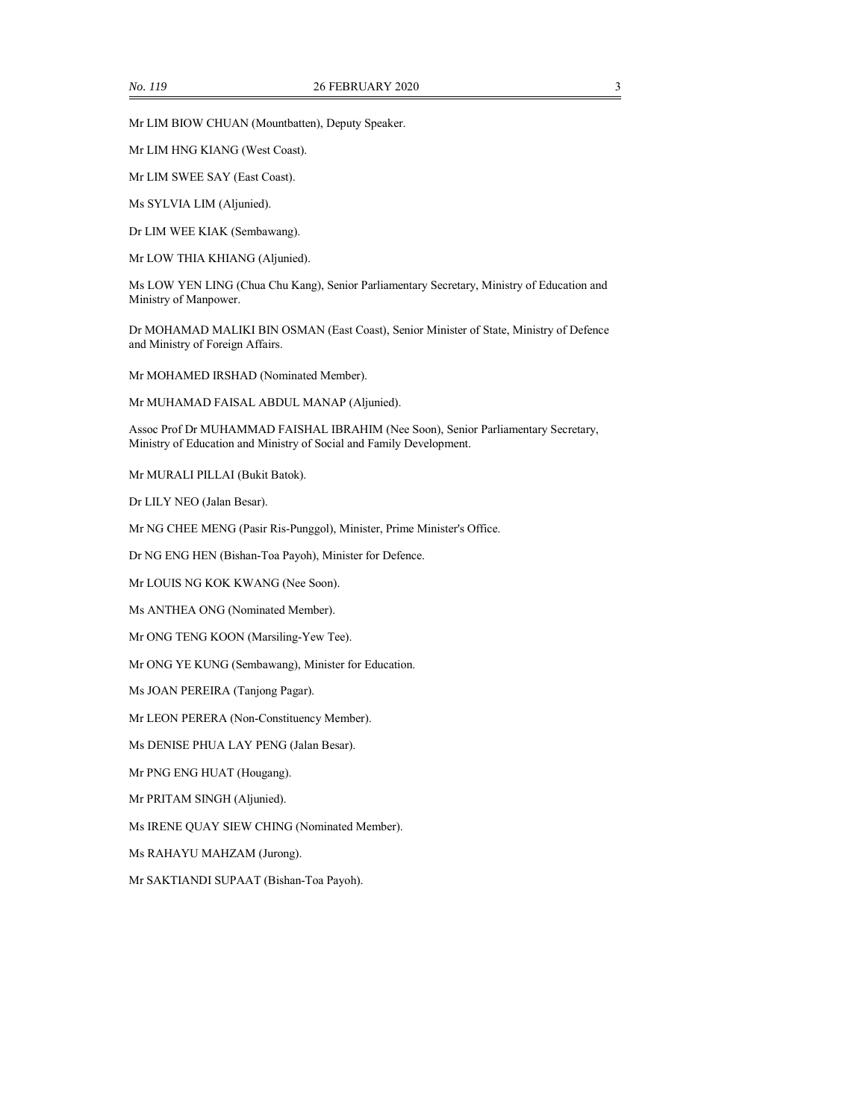Mr LIM BIOW CHUAN (Mountbatten), Deputy Speaker.

Mr LIM HNG KIANG (West Coast).

Mr LIM SWEE SAY (East Coast).

Ms SYLVIA LIM (Aljunied).

Dr LIM WEE KIAK (Sembawang).

Mr LOW THIA KHIANG (Aljunied).

Ms LOW YEN LING (Chua Chu Kang), Senior Parliamentary Secretary, Ministry of Education and Ministry of Manpower.

Dr MOHAMAD MALIKI BIN OSMAN (East Coast), Senior Minister of State, Ministry of Defence and Ministry of Foreign Affairs.

Mr MOHAMED IRSHAD (Nominated Member).

Mr MUHAMAD FAISAL ABDUL MANAP (Aljunied).

Assoc Prof Dr MUHAMMAD FAISHAL IBRAHIM (Nee Soon), Senior Parliamentary Secretary, Ministry of Education and Ministry of Social and Family Development.

Mr MURALI PILLAI (Bukit Batok).

Dr LILY NEO (Jalan Besar).

Mr NG CHEE MENG (Pasir Ris-Punggol), Minister, Prime Minister's Office.

Dr NG ENG HEN (Bishan-Toa Payoh), Minister for Defence.

Mr LOUIS NG KOK KWANG (Nee Soon).

Ms ANTHEA ONG (Nominated Member).

Mr ONG TENG KOON (Marsiling-Yew Tee).

Mr ONG YE KUNG (Sembawang), Minister for Education.

Ms JOAN PEREIRA (Tanjong Pagar).

Mr LEON PERERA (Non-Constituency Member).

Ms DENISE PHUA LAY PENG (Jalan Besar).

Mr PNG ENG HUAT (Hougang).

Mr PRITAM SINGH (Aljunied).

Ms IRENE QUAY SIEW CHING (Nominated Member).

Ms RAHAYU MAHZAM (Jurong).

Mr SAKTIANDI SUPAAT (Bishan-Toa Payoh).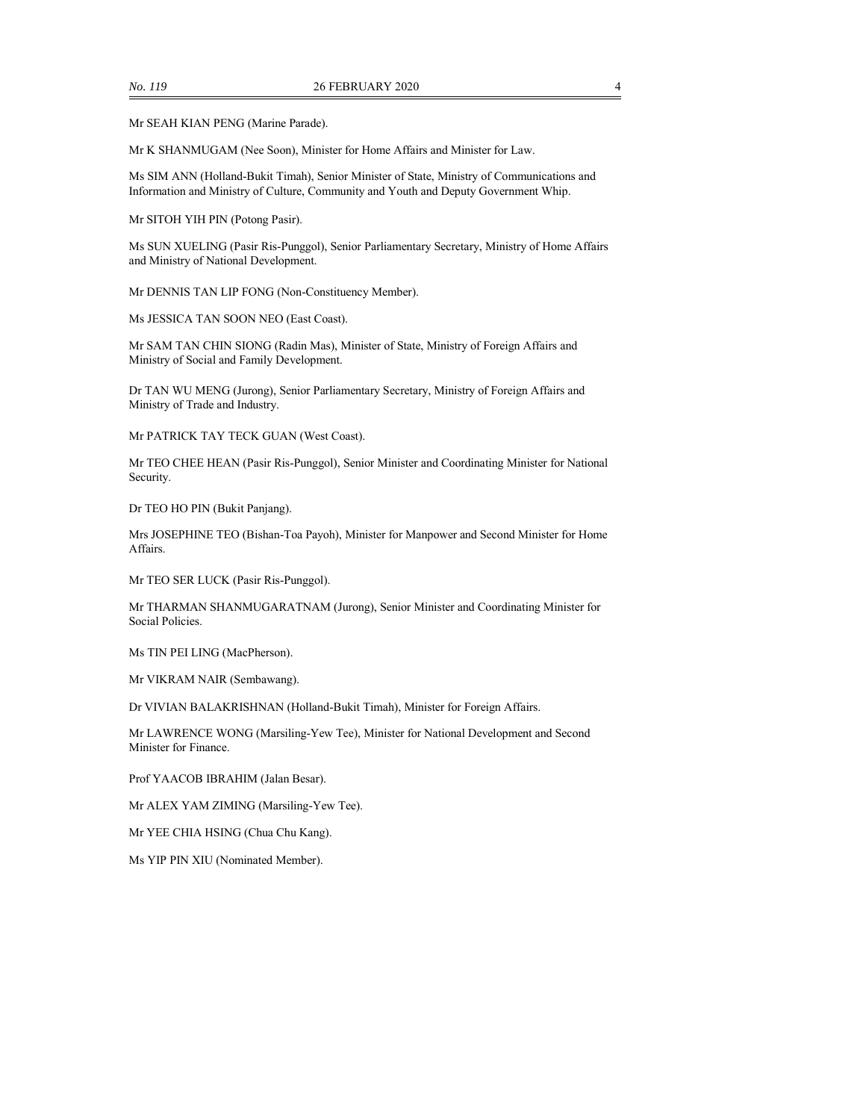Mr SEAH KIAN PENG (Marine Parade).

Mr K SHANMUGAM (Nee Soon), Minister for Home Affairs and Minister for Law.

Ms SIM ANN (Holland-Bukit Timah), Senior Minister of State, Ministry of Communications and Information and Ministry of Culture, Community and Youth and Deputy Government Whip.

Mr SITOH YIH PIN (Potong Pasir).

Ms SUN XUELING (Pasir Ris-Punggol), Senior Parliamentary Secretary, Ministry of Home Affairs and Ministry of National Development.

Mr DENNIS TAN LIP FONG (Non-Constituency Member).

Ms JESSICA TAN SOON NEO (East Coast).

Mr SAM TAN CHIN SIONG (Radin Mas), Minister of State, Ministry of Foreign Affairs and Ministry of Social and Family Development.

Dr TAN WU MENG (Jurong), Senior Parliamentary Secretary, Ministry of Foreign Affairs and Ministry of Trade and Industry.

Mr PATRICK TAY TECK GUAN (West Coast).

Mr TEO CHEE HEAN (Pasir Ris-Punggol), Senior Minister and Coordinating Minister for National Security.

Dr TEO HO PIN (Bukit Panjang).

Mrs JOSEPHINE TEO (Bishan-Toa Payoh), Minister for Manpower and Second Minister for Home Affairs.

Mr TEO SER LUCK (Pasir Ris-Punggol).

Mr THARMAN SHANMUGARATNAM (Jurong), Senior Minister and Coordinating Minister for Social Policies.

Ms TIN PEI LING (MacPherson).

Mr VIKRAM NAIR (Sembawang).

Dr VIVIAN BALAKRISHNAN (Holland-Bukit Timah), Minister for Foreign Affairs.

Mr LAWRENCE WONG (Marsiling-Yew Tee), Minister for National Development and Second Minister for Finance.

Prof YAACOB IBRAHIM (Jalan Besar).

Mr ALEX YAM ZIMING (Marsiling-Yew Tee).

Mr YEE CHIA HSING (Chua Chu Kang).

Ms YIP PIN XIU (Nominated Member).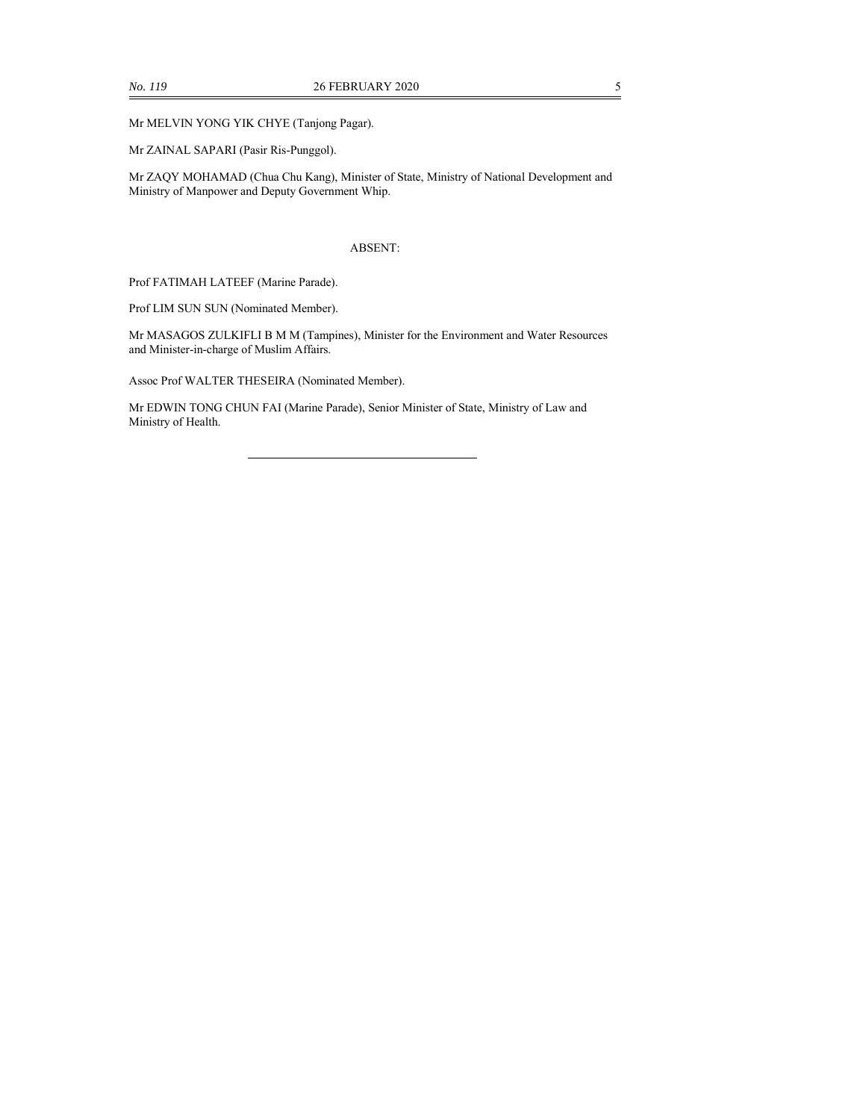Mr MELVIN YONG YIK CHYE (Tanjong Pagar).

Mr ZAINAL SAPARI (Pasir Ris-Punggol).

Mr ZAQY MOHAMAD (Chua Chu Kang), Minister of State, Ministry of National Development and Ministry of Manpower and Deputy Government Whip.

#### ABSENT:

Prof FATIMAH LATEEF (Marine Parade).

Prof LIM SUN SUN (Nominated Member).

Mr MASAGOS ZULKIFLI B M M (Tampines), Minister for the Environment and Water Resources and Minister-in-charge of Muslim Affairs.

Assoc Prof WALTER THESEIRA (Nominated Member).

Mr EDWIN TONG CHUN FAI (Marine Parade), Senior Minister of State, Ministry of Law and Ministry of Health.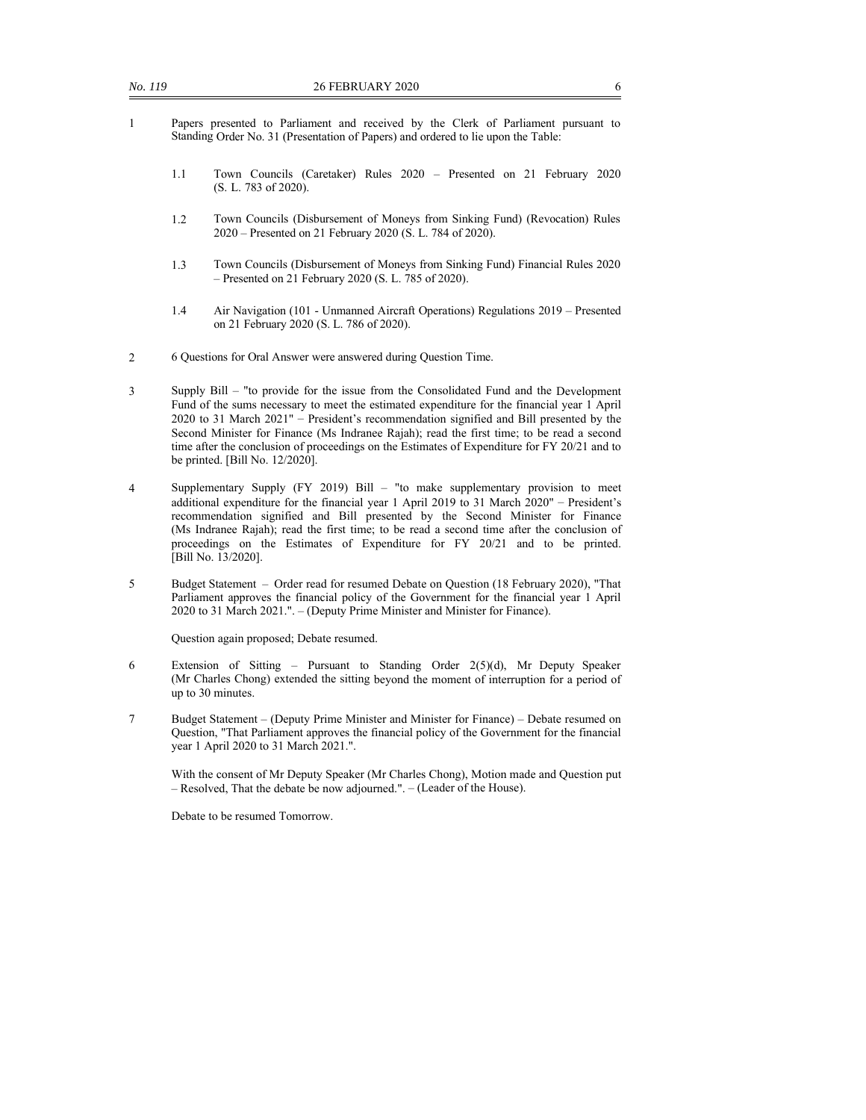- 1 Papers presented to Parliament and received by the Clerk of Parliament pursuant to Standing Order No. 31 (Presentation of Papers) and ordered to lie upon the Table:
	- 1.1 Town Councils (Caretaker) Rules 2020 Presented on 21 February 2020 (S. L. 783 of 2020).
	- 1.2 Town Councils (Disbursement of Moneys from Sinking Fund) (Revocation) Rules 2020 – Presented on 21 February 2020 (S. L. 784 of 2020).
	- 1.3 Town Councils (Disbursement of Moneys from Sinking Fund) Financial Rules 2020 – Presented on 21 February 2020 (S. L. 785 of 2020).
	- 1.4 Air Navigation (101 Unmanned Aircraft Operations) Regulations 2019 Presented on 21 February 2020 (S. L. 786 of 2020).
- 2 6 Questions for Oral Answer were answered during Question Time.
- 3 Supply Bill "to provide for the issue from the Consolidated Fund and the Development Fund of the sums necessary to meet the estimated expenditure for the financial year 1 April 2020 to 31 March 2021" – President's recommendation signified and Bill presented by the Second Minister for Finance (Ms Indranee Rajah); read the first time; to be read a second time after the conclusion of proceedings on the Estimates of Expenditure for FY 20/21 and to be printed. [Bill No. 12/2020].
- 4 Supplementary Supply (FY 2019) Bill "to make supplementary provision to meet additional expenditure for the financial year 1 April 2019 to 31 March 2020" – President's recommendation signified and Bill presented by the Second Minister for Finance (Ms Indranee Rajah); read the first time; to be read a second time after the conclusion of proceedings on the Estimates of Expenditure for FY 20/21 and to be printed. [Bill No. 13/2020].
- 5 Budget Statement Order read for resumed Debate on Question (18 February 2020), "That Parliament approves the financial policy of the Government for the financial year 1 April 2020 to 31 March 2021.". – (Deputy Prime Minister and Minister for Finance).

Question again proposed; Debate resumed.

- 6 Extension of Sitting Pursuant to Standing Order 2(5)(d), Mr Deputy Speaker (Mr Charles Chong) extended the sitting beyond the moment of interruption for a period of up to 30 minutes.
- 7 Budget Statement (Deputy Prime Minister and Minister for Finance) Debate resumed on Question, "That Parliament approves the financial policy of the Government for the financial year 1 April 2020 to 31 March 2021.".

With the consent of Mr Deputy Speaker (Mr Charles Chong), Motion made and Question put – Resolved, That the debate be now adjourned.". – (Leader of the House).

Debate to be resumed Tomorrow.